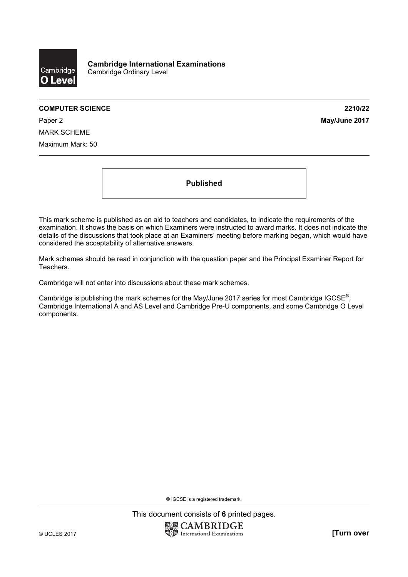

#### **COMPUTER SCIENCE 2210/22**

Paper 2 **May/June 2017** MARK SCHEME Maximum Mark: 50

**Published** 

This mark scheme is published as an aid to teachers and candidates, to indicate the requirements of the examination. It shows the basis on which Examiners were instructed to award marks. It does not indicate the details of the discussions that took place at an Examiners' meeting before marking began, which would have considered the acceptability of alternative answers.

Mark schemes should be read in conjunction with the question paper and the Principal Examiner Report for Teachers.

Cambridge will not enter into discussions about these mark schemes.

Cambridge is publishing the mark schemes for the May/June 2017 series for most Cambridge IGCSE<sup>®</sup>, Cambridge International A and AS Level and Cambridge Pre-U components, and some Cambridge O Level components.

® IGCSE is a registered trademark.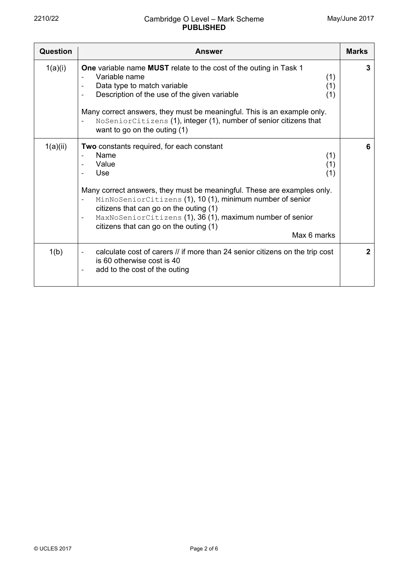| Question | Answer                                                                                                                                                                                                                                                                                                                                                                                                                     | <b>Marks</b> |
|----------|----------------------------------------------------------------------------------------------------------------------------------------------------------------------------------------------------------------------------------------------------------------------------------------------------------------------------------------------------------------------------------------------------------------------------|--------------|
| 1(a)(i)  | One variable name MUST relate to the cost of the outing in Task 1<br>Variable name<br>(1)<br>Data type to match variable<br>(1)<br>Description of the use of the given variable<br>(1)<br>Many correct answers, they must be meaningful. This is an example only.<br>NoSeniorCitizens (1), integer (1), number of senior citizens that<br>want to go on the outing (1)                                                     | 3            |
| 1(a)(ii) | Two constants required, for each constant<br>Name<br>(1)<br>Value<br>(1)<br>Use<br>(1)<br>Many correct answers, they must be meaningful. These are examples only.<br>MinNoSeniorCitizens (1), 10 (1), minimum number of senior<br>citizens that can go on the outing (1)<br>MaxNoSeniorCitizens (1), 36 (1), maximum number of senior<br>$\overline{\phantom{a}}$<br>citizens that can go on the outing (1)<br>Max 6 marks | 6            |
| 1(b)     | calculate cost of carers // if more than 24 senior citizens on the trip cost<br>is 60 otherwise cost is 40<br>add to the cost of the outing                                                                                                                                                                                                                                                                                | $\mathbf{2}$ |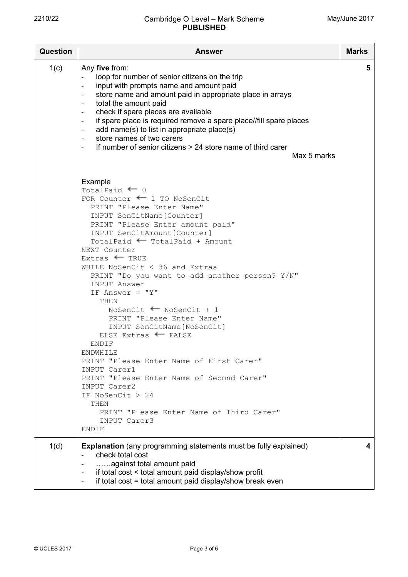| <b>Question</b> | Answer                                                                                                                                                                                                                                                                                                                                                                                                                                                                                                                                                                                                                                                                                                                                                                                                          | <b>Marks</b> |
|-----------------|-----------------------------------------------------------------------------------------------------------------------------------------------------------------------------------------------------------------------------------------------------------------------------------------------------------------------------------------------------------------------------------------------------------------------------------------------------------------------------------------------------------------------------------------------------------------------------------------------------------------------------------------------------------------------------------------------------------------------------------------------------------------------------------------------------------------|--------------|
| 1(c)            | Any five from:<br>loop for number of senior citizens on the trip<br>input with prompts name and amount paid<br>$\overline{\phantom{a}}$<br>store name and amount paid in appropriate place in arrays<br>total the amount paid<br>check if spare places are available<br>$\overline{\phantom{a}}$<br>if spare place is required remove a spare place//fill spare places<br>$\overline{\phantom{a}}$<br>add name(s) to list in appropriate place(s)<br>$\overline{\phantom{a}}$<br>store names of two carers<br>$\overline{\phantom{a}}$<br>If number of senior citizens > 24 store name of third carer<br>$\overline{\phantom{a}}$<br>Max 5 marks                                                                                                                                                                | 5            |
|                 | Example<br>TotalPaid $\leftarrow$ 0<br>FOR Counter $\leftarrow$ 1 TO NoSenCit<br>PRINT "Please Enter Name"<br>INPUT SenCitName [Counter]<br>PRINT "Please Enter amount paid"<br>INPUT SenCitAmount[Counter]<br>TotalPaid $\leftarrow$ TotalPaid + Amount<br>NEXT Counter<br>$Extras$ TRUE<br>WHILE NoSenCit $<$ 36 and Extras<br>PRINT "Do you want to add another person? Y/N"<br><b>INPUT Answer</b><br>IF Answer = $"Y"$<br>THEN<br>NoSenCit $\blacksquare$ NoSenCit + 1<br>PRINT "Please Enter Name"<br>INPUT SenCitName [NoSenCit]<br>ELSE Extras * FALSE<br>ENDIF<br>ENDWHILE<br>PRINT "Please Enter Name of First Carer"<br>INPUT Carer1<br>PRINT "Please Enter Name of Second Carer"<br>INPUT Carer2<br>IF NoSenCit $> 24$<br>THEN<br>PRINT "Please Enter Name of Third Carer"<br>INPUT Carer3<br>ENDIF |              |
| 1(d)            | <b>Explanation</b> (any programming statements must be fully explained)<br>check total cost<br>against total amount paid<br>$\blacksquare$<br>if total cost < total amount paid display/show profit<br>$\overline{\phantom{a}}$<br>if total cost = total amount paid display/show break even<br>$\overline{\phantom{a}}$                                                                                                                                                                                                                                                                                                                                                                                                                                                                                        | 4            |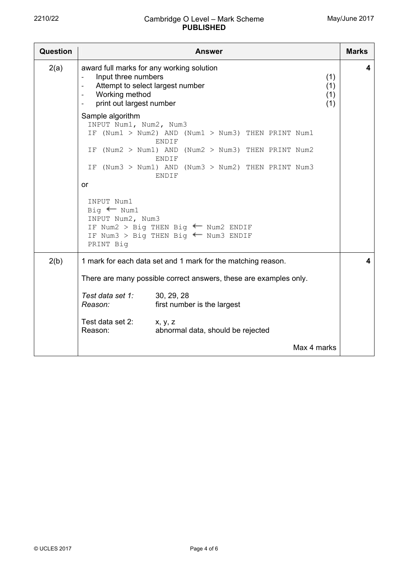| <b>Question</b> | <b>Answer</b>                                                                                                                                                                                                                                                      |                                                                                                                                                                                                                                                                                       |  |  |
|-----------------|--------------------------------------------------------------------------------------------------------------------------------------------------------------------------------------------------------------------------------------------------------------------|---------------------------------------------------------------------------------------------------------------------------------------------------------------------------------------------------------------------------------------------------------------------------------------|--|--|
| 2(a)            | award full marks for any working solution<br>Input three numbers<br>(1)<br>Attempt to select largest number<br>(1)<br>$\overline{\phantom{a}}$<br>Working method<br>(1)<br>$\overline{\phantom{a}}$<br>print out largest number<br>(1)<br>$\overline{\phantom{a}}$ |                                                                                                                                                                                                                                                                                       |  |  |
|                 | Sample algorithm<br>INPUT Num1, Num2, Num3<br>or<br>INPUT Num1<br>$Big \leftarrow$ Num1<br>INPUT Num2, Num3<br>PRINT Big                                                                                                                                           | IF (Num1 > Num2) AND (Num1 > Num3) THEN PRINT Num1<br><b>ENDIF</b><br>IF (Num2 > Num1) AND (Num2 > Num3) THEN PRINT Num2<br>ENDIF<br>IF (Num3 > Num1) AND (Num3 > Num2) THEN PRINT Num3<br><b>ENDIF</b><br>IF Num2 > Big THEN Big < Num2 ENDIF<br>IF Num3 > Big THEN Big + Num3 ENDIF |  |  |
| 2(b)            | 1 mark for each data set and 1 mark for the matching reason.<br>There are many possible correct answers, these are examples only.                                                                                                                                  |                                                                                                                                                                                                                                                                                       |  |  |
|                 |                                                                                                                                                                                                                                                                    |                                                                                                                                                                                                                                                                                       |  |  |
|                 | Test data set 1:<br>Reason:                                                                                                                                                                                                                                        | 30, 29, 28<br>first number is the largest                                                                                                                                                                                                                                             |  |  |
|                 | Test data set 2:<br>x, y, z<br>Reason:<br>abnormal data, should be rejected                                                                                                                                                                                        |                                                                                                                                                                                                                                                                                       |  |  |
|                 |                                                                                                                                                                                                                                                                    | Max 4 marks                                                                                                                                                                                                                                                                           |  |  |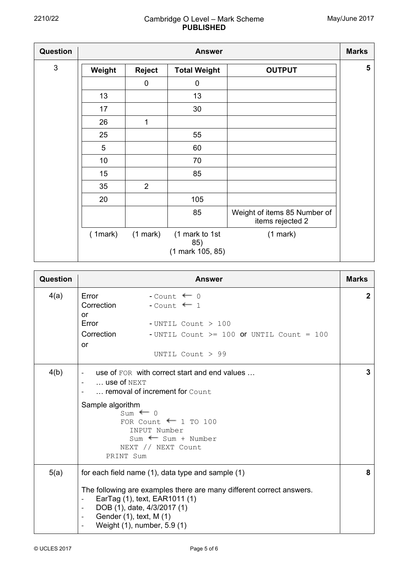| <b>Question</b> | <b>Answer</b> |                |                                           |                                                  |                |
|-----------------|---------------|----------------|-------------------------------------------|--------------------------------------------------|----------------|
| $\mathbf{3}$    | Weight        | <b>Reject</b>  | <b>Total Weight</b>                       | <b>OUTPUT</b>                                    | $5\phantom{1}$ |
|                 |               | 0              | 0                                         |                                                  |                |
|                 | 13            |                | 13                                        |                                                  |                |
|                 | 17            |                | 30                                        |                                                  |                |
|                 | 26            | 1              |                                           |                                                  |                |
|                 | 25            |                | 55                                        |                                                  |                |
|                 | 5             |                | 60                                        |                                                  |                |
|                 | 10            |                | 70                                        |                                                  |                |
|                 | 15            |                | 85                                        |                                                  |                |
|                 | 35            | $\overline{2}$ |                                           |                                                  |                |
|                 | 20            |                | 105                                       |                                                  |                |
|                 |               |                | 85                                        | Weight of items 85 Number of<br>items rejected 2 |                |
|                 | (1mark)       | (1 mark)       | (1 mark to 1st<br>85)<br>(1 mark 105, 85) | (1 mark)                                         |                |

| <b>Question</b> | Answer                                                                                                                                                                                                                                                                                                              | <b>Marks</b> |  |  |
|-----------------|---------------------------------------------------------------------------------------------------------------------------------------------------------------------------------------------------------------------------------------------------------------------------------------------------------------------|--------------|--|--|
| 4(a)            | Error<br>- Count $\leftarrow$ 0<br>Correction<br>$-$ Count $\leftarrow$ 1<br>or                                                                                                                                                                                                                                     | $\mathbf{2}$ |  |  |
|                 | Error<br>- UNTIL Count $>100$                                                                                                                                                                                                                                                                                       |              |  |  |
|                 | Correction<br>-UNTIL Count $>=$ 100 or UNTIL Count = 100                                                                                                                                                                                                                                                            |              |  |  |
|                 | or<br>UNTIL Count $> 99$                                                                                                                                                                                                                                                                                            |              |  |  |
| 4(b)            | use of FOR with correct start and end values<br>$\overline{a}$<br>$\ldots$ use of NEXT<br>removal of increment for Count                                                                                                                                                                                            |              |  |  |
|                 | Sample algorithm<br>$Sum \leftarrow 0$<br>FOR Count $\equiv$ 1 TO 100<br>INPUT Number<br>$Sum$ $\leftarrow$ Sum + Number<br>NEXT // NEXT Count<br>PRINT Sum                                                                                                                                                         |              |  |  |
| 5(a)            | for each field name (1), data type and sample (1)<br>The following are examples there are many different correct answers.<br>EarTag (1), text, EAR1011 (1)<br>$\overline{a}$<br>DOB (1), date, 4/3/2017 (1)<br>$\overline{a}$<br>Gender (1), text, M (1)<br>$\overline{\phantom{a}}$<br>Weight (1), number, 5.9 (1) | 8            |  |  |